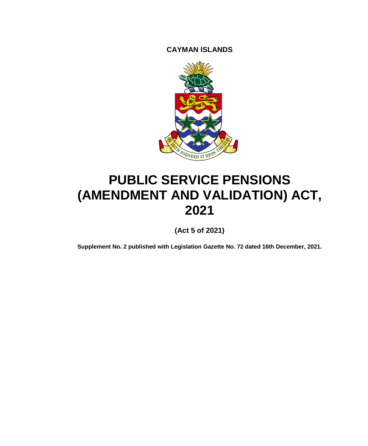**CAYMAN ISLANDS**



# **PUBLIC SERVICE PENSIONS (AMENDMENT AND VALIDATION) ACT, 2021**

**(Act 5 of 2021)**

**Supplement No. 2 published with Legislation Gazette No. 72 dated 16th December, 2021.**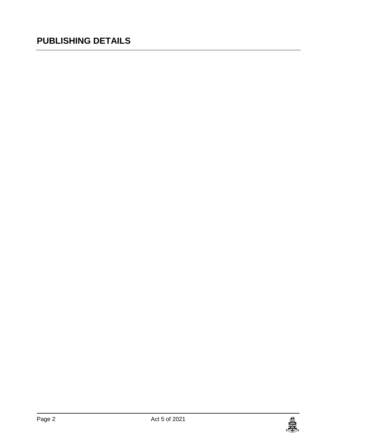### **PUBLISHING DETAILS**

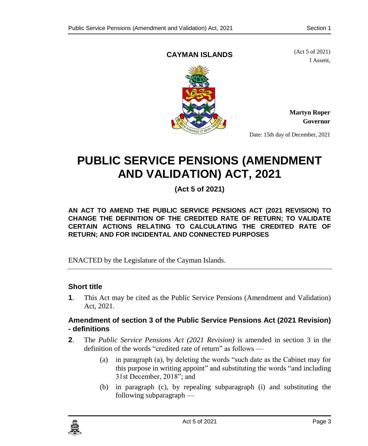#### **CAYMAN ISLANDS**

(Act 5 of 2021) I Assent,



**Martyn Roper Governor**

Date: 15th day of December, 2021

## **PUBLIC SERVICE PENSIONS (AMENDMENT AND VALIDATION) ACT, 2021**

**(Act 5 of 2021)**

**AN ACT TO AMEND THE PUBLIC SERVICE PENSIONS ACT (2021 REVISION) TO CHANGE THE DEFINITION OF THE CREDITED RATE OF RETURN; TO VALIDATE CERTAIN ACTIONS RELATING TO CALCULATING THE CREDITED RATE OF RETURN; AND FOR INCIDENTAL AND CONNECTED PURPOSES**

ENACTED by the Legislature of the Cayman Islands.

#### **1. Short title**

**1**. This Act may be cited as the Public Service Pensions (Amendment and Validation) Act, 2021.

#### **2. Amendment of section 3 of the Public Service Pensions Act (2021 Revision) - definitions**

- **2**. The *Public Service Pensions Act (2021 Revision)* is amended in section 3 in the definition of the words "credited rate of return" as follows —
	- (a) in paragraph (a), by deleting the words "such date as the Cabinet may for this purpose in writing appoint" and substituting the words "and including 31st December, 2018"; and
	- (b) in paragraph (c), by repealing subparagraph (i) and substituting the following subparagraph —